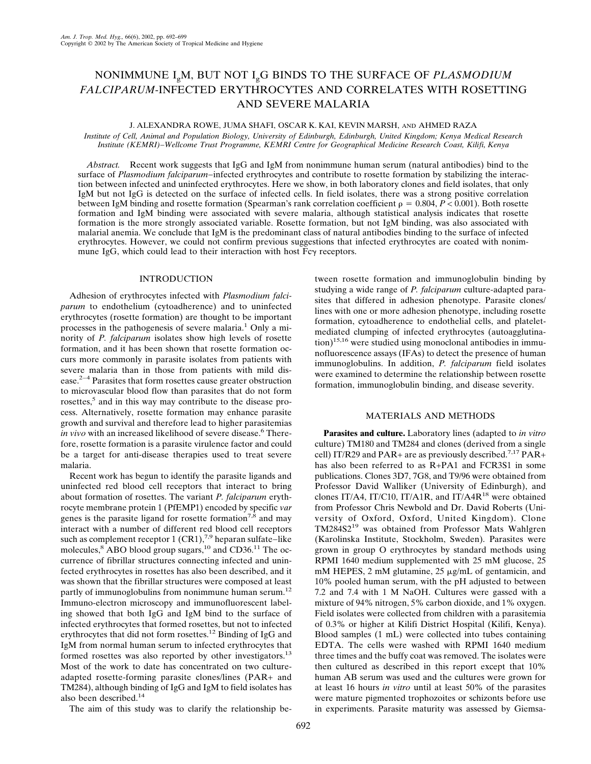# NONIMMUNE IgM, BUT NOT IgG BINDS TO THE SURFACE OF *PLASMODIUM FALCIPARUM*-INFECTED ERYTHROCYTES AND CORRELATES WITH ROSETTING AND SEVERE MALARIA

# J. ALEXANDRA ROWE, JUMA SHAFI, OSCAR K. KAI, KEVIN MARSH, AND AHMED RAZA

*Institute of Cell, Animal and Population Biology, University of Edinburgh, Edinburgh, United Kingdom; Kenya Medical Research Institute (KEMRI)−Wellcome Trust Programme, KEMRI Centre for Geographical Medicine Research Coast, Kilifi, Kenya*

*Abstract.* Recent work suggests that IgG and IgM from nonimmune human serum (natural antibodies) bind to the surface of *Plasmodium falciparum−*infected erythrocytes and contribute to rosette formation by stabilizing the interaction between infected and uninfected erythrocytes. Here we show, in both laboratory clones and field isolates, that only IgM but not IgG is detected on the surface of infected cells. In field isolates, there was a strong positive correlation between IgM binding and rosette formation (Spearman's rank correlation coefficient  $\rho = 0.804$ ,  $P < 0.001$ ). Both rosette formation and IgM binding were associated with severe malaria, although statistical analysis indicates that rosette formation is the more strongly associated variable. Rosette formation, but not IgM binding, was also associated with malarial anemia. We conclude that IgM is the predominant class of natural antibodies binding to the surface of infected erythrocytes. However, we could not confirm previous suggestions that infected erythrocytes are coated with nonimmune IgG, which could lead to their interaction with host  $Fc\gamma$  receptors.

## INTRODUCTION

Adhesion of erythrocytes infected with *Plasmodium falciparum* to endothelium (cytoadherence) and to uninfected erythrocytes (rosette formation) are thought to be important processes in the pathogenesis of severe malaria.<sup>1</sup> Only a minority of *P. falciparum* isolates show high levels of rosette formation, and it has been shown that rosette formation occurs more commonly in parasite isolates from patients with severe malaria than in those from patients with mild disease.2−4 Parasites that form rosettes cause greater obstruction to microvascular blood flow than parasites that do not form rosettes,<sup>5</sup> and in this way may contribute to the disease process. Alternatively, rosette formation may enhance parasite growth and survival and therefore lead to higher parasitemias *in vivo* with an increased likelihood of severe disease.<sup>6</sup> Therefore, rosette formation is a parasite virulence factor and could be a target for anti-disease therapies used to treat severe malaria.

Recent work has begun to identify the parasite ligands and uninfected red blood cell receptors that interact to bring about formation of rosettes. The variant *P. falciparum* erythrocyte membrane protein 1 (PfEMP1) encoded by specific *var* genes is the parasite ligand for rosette formation<sup>7,8</sup> and may interact with a number of different red blood cell receptors such as complement receptor 1 (CR1),<sup>7,9</sup> heparan sulfate–like molecules,<sup>8</sup> ABO blood group sugars,<sup>10</sup> and CD36.<sup>11</sup> The occurrence of fibrillar structures connecting infected and uninfected erythrocytes in rosettes has also been described, and it was shown that the fibrillar structures were composed at least partly of immunoglobulins from nonimmune human serum.<sup>12</sup> Immuno-electron microscopy and immunofluorescent labeling showed that both IgG and IgM bind to the surface of infected erythrocytes that formed rosettes, but not to infected erythrocytes that did not form rosettes.12 Binding of IgG and IgM from normal human serum to infected erythrocytes that formed rosettes was also reported by other investigators.<sup>13</sup> Most of the work to date has concentrated on two cultureadapted rosette-forming parasite clones/lines (PAR+ and TM284), although binding of IgG and IgM to field isolates has also been described.14

The aim of this study was to clarify the relationship be-

tween rosette formation and immunoglobulin binding by studying a wide range of *P. falciparum* culture-adapted parasites that differed in adhesion phenotype. Parasite clones/ lines with one or more adhesion phenotype, including rosette formation, cytoadherence to endothelial cells, and plateletmediated clumping of infected erythrocytes (autoagglutina- $\text{tion}$ <sup>15,16</sup> were studied using monoclonal antibodies in immunofluorescence assays (IFAs) to detect the presence of human immunoglobulins. In addition, *P. falciparum* field isolates were examined to determine the relationship between rosette formation, immunoglobulin binding, and disease severity.

# MATERIALS AND METHODS

**Parasites and culture.** Laboratory lines (adapted to *in vitro* culture) TM180 and TM284 and clones (derived from a single cell) IT/R29 and PAR+ are as previously described.<sup>7,17</sup> PAR+ has also been referred to as R+PA1 and FCR3S1 in some publications. Clones 3D7, 7G8, and T9/96 were obtained from Professor David Walliker (University of Edinburgh), and clones IT/A4, IT/C10, IT/A1R, and IT/A4R<sup>18</sup> were obtained from Professor Chris Newbold and Dr. David Roberts (University of Oxford, Oxford, United Kingdom). Clone TM284S2<sup>19</sup> was obtained from Professor Mats Wahlgren (Karolinska Institute, Stockholm, Sweden). Parasites were grown in group O erythrocytes by standard methods using RPMI 1640 medium supplemented with 25 mM glucose, 25 mM HEPES, 2 mM glutamine, 25 µg/mL of gentamicin, and 10% pooled human serum, with the pH adjusted to between 7.2 and 7.4 with 1 M NaOH. Cultures were gassed with a mixture of 94% nitrogen, 5% carbon dioxide, and 1% oxygen. Field isolates were collected from children with a parasitemia of 0.3% or higher at Kilifi District Hospital (Kilifi, Kenya). Blood samples (1 mL) were collected into tubes containing EDTA. The cells were washed with RPMI 1640 medium three times and the buffy coat was removed. The isolates were then cultured as described in this report except that 10% human AB serum was used and the cultures were grown for atleast16 hours *in vitro* until at least 50% of the parasites were mature pigmented trophozoites or schizonts before use in experiments. Parasite maturity was assessed by Giemsa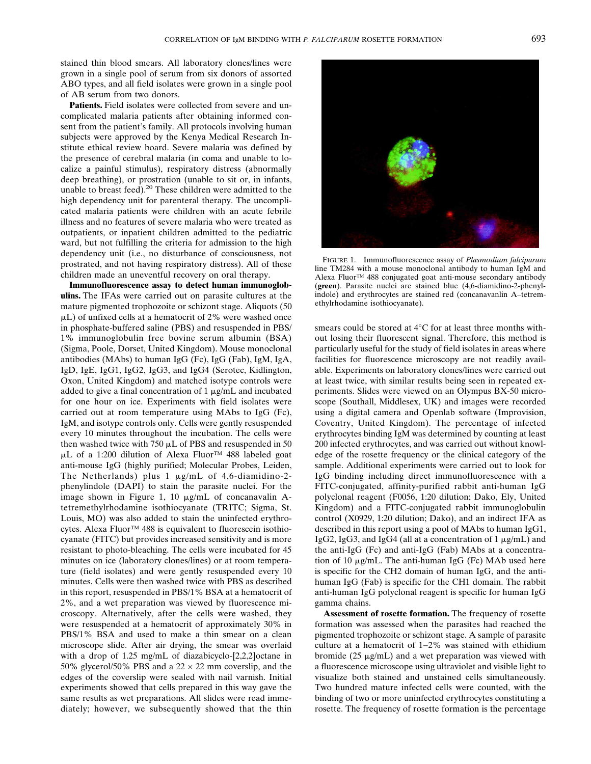stained thin blood smears. All laboratory clones/lines were grown in a single pool of serum from six donors of assorted ABO types, and all field isolates were grown in a single pool of AB serum from two donors.

**Patients.** Field isolates were collected from severe and uncomplicated malaria patients after obtaining informed consent from the patient's family. All protocols involving human subjects were approved by the Kenya Medical Research Institute ethical review board. Severe malaria was defined by the presence of cerebral malaria (in coma and unable to localize a painful stimulus), respiratory distress (abnormally deep breathing), or prostration (unable to sit or, in infants, unable to breast feed).<sup>20</sup> These children were admitted to the high dependency unit for parenteral therapy. The uncomplicated malaria patients were children with an acute febrile illness and no features of severe malaria who were treated as outpatients, or inpatient children admitted to the pediatric ward, but not fulfilling the criteria for admission to the high dependency unit (i.e., no disturbance of consciousness, not prostrated, and not having respiratory distress). All of these children made an uneventful recovery on oral therapy.

**Immunofluorescence assay to detect human immunoglobulins.** The IFAs were carried out on parasite cultures at the mature pigmented trophozoite or schizont stage. Aliquots (50  $\mu$ L) of unfixed cells at a hematocrit of 2% were washed once in phosphate-buffered saline (PBS) and resuspended in PBS/ 1% immunoglobulin free bovine serum albumin (BSA) (Sigma, Poole, Dorset, United Kingdom). Mouse monoclonal antibodies (MAbs) to human IgG (Fc), IgG (Fab), IgM, IgA, IgD, IgE, IgG1, IgG2, IgG3, and IgG4 (Serotec, Kidlington, Oxon, United Kingdom) and matched isotype controls were added to give a final concentration of  $1 \mu g/mL$  and incubated for one hour on ice. Experiments with field isolates were carried out at room temperature using MAbs to IgG (Fc), IgM, and isotype controls only. Cells were gently resuspended every 10 minutes throughout the incubation. The cells were then washed twice with 750  $\mu$ L of PBS and resuspended in 50 µL of a 1:200 dilution of Alexa Fluor<sup>™</sup> 488 labeled goat anti-mouse IgG (highly purified; Molecular Probes, Leiden, The Netherlands) plus 1  $\mu$ g/mL of 4,6-diamidino-2phenylindole (DAPI) to stain the parasite nuclei. For the image shown in Figure 1, 10  $\mu$ g/mL of concanavalin Atetremethylrhodamine isothiocyanate (TRITC; Sigma, St. Louis, MO) was also added to stain the uninfected erythrocytes. Alexa Fluor™ 488 is equivalent to fluorescein isothiocyanate (FITC) but provides increased sensitivity and is more resistant to photo-bleaching. The cells were incubated for 45 minutes on ice (laboratory clones/lines) or at room temperature (field isolates) and were gently resuspended every 10 minutes. Cells were then washed twice with PBS as described in this report, resuspended in PBS/1% BSA at a hematocrit of 2%, and a wet preparation was viewed by fluorescence microscopy. Alternatively, after the cells were washed, they were resuspended at a hematocrit of approximately 30% in PBS/1% BSA and used to make a thin smear on a clean microscope slide. After air drying, the smear was overlaid with a drop of 1.25 mg/mL of diazabicyclo-[2,2,2]octane in 50% glycerol/50% PBS and a  $22 \times 22$  mm coverslip, and the edges of the coverslip were sealed with nail varnish. Initial experiments showed that cells prepared in this way gave the same results as wet preparations. All slides were read immediately; however, we subsequently showed that the thin



FIGURE 1. Immunofluorescence assay of *Plasmodium falciparum* line TM284 with a mouse monoclonal antibody to human IgM and Alexa Fluor™ 488 conjugated goat anti-mouse secondary antibody (**green**). Parasite nuclei are stained blue (4,6-diamidino-2-phenylindole) and erythrocytes are stained red (concanavanlin A–tetremethylrhodamine isothiocyanate).

smears could be stored at 4°C for at least three months without losing their fluorescent signal. Therefore, this method is particularly useful for the study of field isolates in areas where facilities for fluorescence microscopy are not readily available. Experiments on laboratory clones/lines were carried out at least twice, with similar results being seen in repeated experiments. Slides were viewed on an Olympus BX-50 microscope (Southall, Middlesex, UK) and images were recorded using a digital camera and Openlab software (Improvision, Coventry, United Kingdom). The percentage of infected erythrocytes binding IgM was determined by counting at least 200 infected erythrocytes, and was carried out without knowledge of the rosette frequency or the clinical category of the sample. Additional experiments were carried out to look for IgG binding including direct immunofluorescence with a FITC-conjugated, affinity-purified rabbit anti-human IgG polyclonal reagent (F0056, 1:20 dilution; Dako, Ely, United Kingdom) and a FITC-conjugated rabbit immunoglobulin control (X0929, 1:20 dilution; Dako), and an indirect IFA as described in this report using a pool of MAbs to human IgG1, IgG2, IgG3, and IgG4 (all at a concentration of  $1 \mu g/mL$ ) and the anti-IgG (Fc) and anti-IgG (Fab) MAbs at a concentration of 10  $\mu$ g/mL. The anti-human IgG (Fc) MAb used here is specific for the CH2 domain of human IgG, and the antihuman IgG (Fab) is specific for the CH1 domain. The rabbit anti-human IgG polyclonal reagent is specific for human IgG gamma chains.

**Assessment of rosette formation.** The frequency of rosette formation was assessed when the parasites had reached the pigmented trophozoite or schizont stage. A sample of parasite culture at a hematocrit of 1−2% was stained with ethidium bromide ( $25 \mu g/mL$ ) and a wet preparation was viewed with a fluorescence microscope using ultraviolet and visible light to visualize both stained and unstained cells simultaneously. Two hundred mature infected cells were counted, with the binding of two or more uninfected erythrocytes constituting a rosette. The frequency of rosette formation is the percentage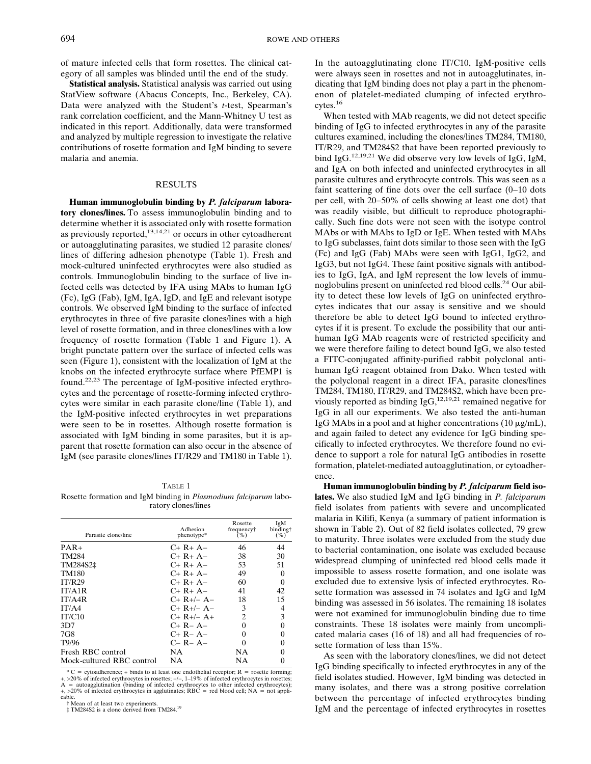of mature infected cells that form rosettes. The clinical category of all samples was blinded until the end of the study.

**Statistical analysis.** Statistical analysis was carried out using StatView software (Abacus Concepts, Inc., Berkeley, CA). Data were analyzed with the Student's *t*-test, Spearman's rank correlation coefficient, and the Mann-Whitney U test as indicated in this report. Additionally, data were transformed and analyzed by multiple regression to investigate the relative contributions of rosette formation and IgM binding to severe malaria and anemia.

#### **RESULTS**

**Human immunoglobulin binding by** *P. falciparum* **laboratory clones/lines.** To assess immunoglobulin binding and to determine whether it is associated only with rosette formation as previously reported, $13,14,21$  or occurs in other cytoadherent or autoagglutinating parasites, we studied 12 parasite clones/ lines of differing adhesion phenotype (Table 1). Fresh and mock-cultured uninfected erythrocytes were also studied as controls. Immunoglobulin binding to the surface of live infected cells was detected by IFA using MAbs to human IgG  $(Fc)$ , IgG (Fab), IgM, IgA, IgD, and IgE and relevant isotype controls. We observed IgM binding to the surface of infected erythrocytes in three of five parasite clones/lines with a high level of rosette formation, and in three clones/lines with a low frequency of rosette formation (Table 1 and Figure 1). A bright punctate pattern over the surface of infected cells was seen (Figure 1), consistent with the localization of IgM at the knobs on the infected erythrocyte surface where PfEMP1 is found.22,23 The percentage of IgM-positive infected erythrocytes and the percentage of rosette-forming infected erythrocytes were similar in each parasite clone/line (Table 1), and the IgM-positive infected erythrocytes in wet preparations were seen to be in rosettes. Although rosette formation is associated with IgM binding in some parasites, but it is apparent that rosette formation can also occur in the absence of IgM (see parasite clones/lines IT/R29 and TM180 in Table 1).

#### TABLE 1

Rosette formation and IgM binding in *Plasmodium falciparum* laboratory clones/lines

| Parasite clone/line       | Adhesion<br>phenotype* | Rosette<br>frequency†<br>$(\%)$ | IgM<br>binding†<br>$($ %) |
|---------------------------|------------------------|---------------------------------|---------------------------|
| $PAR+$                    | $C+R+A-$               | 46                              | 44                        |
| <b>TM284</b>              | $C+R+A-$               | 38                              | 30                        |
| TM284S2‡                  | $C+R+A-$               | 53                              | 51                        |
| TM180                     | $C+R+A-$               | 49                              | 0                         |
| IT/R29                    | $C+R+A-$               | 60                              | 0                         |
| IT/A1R                    | $C+R+A-$               | 41                              | 42                        |
| IT/A4R                    | $C+ R+/- A-$           | 18                              | 15                        |
| IT/AA                     | $C+ R+/- A-$           | 3                               | 4                         |
| IT/C10                    | $C+ R+/- A+$           | $\mathcal{L}$                   | 3                         |
| 3D7                       | $C+R- A-$              |                                 |                           |
| 7G8                       | $C+R- A-$              |                                 | 0                         |
| T9/96                     | $C- R- A-$             |                                 |                           |
| Fresh RBC control         | NА                     | NA                              |                           |
| Mock-cultured RBC control | NΑ                     | NΑ                              |                           |

\* C = cytoadherence; + binds to at least one endothelial receptor; R = rosette forming; +, >20% of infected erythrocytes in rosettes; +/−, 1–19% of infected erythrocytes in rosettes;<br>A = autoagglutination (binding of infected erythrocytes to other infected erythrocytes);  $+$ ,  $>$ 20% of infected erythrocytes in agglutinates; RBC = red blood cell; NA = not appli-

cable.<br>† Mean of at least two experiments.

‡ TM284S2 is a clone derived from TM284.19

In the autoagglutinating clone IT/C10, IgM-positive cells were always seen in rosettes and not in autoagglutinates, indicating that IgM binding does not play a part in the phenomenon of platelet-mediated clumping of infected erythrocytes.16

When tested with MAb reagents, we did not detect specific binding of IgG to infected erythrocytes in any of the parasite cultures examined, including the clones/lines TM284, TM180, IT/R29, and TM284S2 that have been reported previously to bind IgG.<sup>12,19,21</sup> We did observe very low levels of IgG, IgM, and IgA on both infected and uninfected erythrocytes in all parasite cultures and erythrocyte controls. This was seen as a faint scattering of fine dots over the cell surface (0−10 dots per cell, with 20−50% of cells showing at least one dot) that was readily visible, but difficult to reproduce photographically. Such fine dots were not seen with the isotype control MAbs or with MAbs to IgD or IgE. When tested with MAbs to IgG subclasses, faint dots similar to those seen with the IgG (Fc) and IgG (Fab) MAbs were seen with IgG1, IgG2, and IgG3, but not IgG4. These faint positive signals with antibodies to IgG, IgA, and IgM represent the low levels of immunoglobulins present on uninfected red blood cells.<sup>24</sup> Our ability to detect these low levels of IgG on uninfected erythrocytes indicates that our assay is sensitive and we should therefore be able to detect IgG bound to infected erythrocytes if it is present. To exclude the possibility that our antihuman IgG MAb reagents were of restricted specificity and we were therefore failing to detect bound IgG, we also tested a FITC-conjugated affinity-purified rabbit polyclonal antihuman IgG reagent obtained from Dako. When tested with the polyclonal reagent in a direct IFA, parasite clones/lines TM284, TM180, IT/R29, and TM284S2, which have been previously reported as binding  $IgG$ ,<sup>12,19,21</sup> remained negative for IgG in all our experiments. We also tested the anti-human IgG MAbs in a pool and at higher concentrations  $(10 \mu g/mL)$ , and again failed to detect any evidence for IgG binding specifically to infected erythrocytes. We therefore found no evidence to support a role for natural IgG antibodies in rosette formation, platelet-mediated autoagglutination, or cytoadherence.

**Human immunoglobulin binding by** *P. falciparum* **field isolates.** We also studied IgM and IgG binding in *P. falciparum* field isolates from patients with severe and uncomplicated malaria in Kilifi, Kenya (a summary of patient information is shown in Table 2). Out of 82 field isolates collected, 79 grew to maturity. Three isolates were excluded from the study due to bacterial contamination, one isolate was excluded because widespread clumping of uninfected red blood cells made it impossible to assess rosette formation, and one isolate was excluded due to extensive lysis of infected erythrocytes. Rosette formation was assessed in 74 isolates and IgG and IgM binding was assessed in 56 isolates. The remaining 18 isolates were not examined for immunoglobulin binding due to time constraints. These 18 isolates were mainly from uncomplicated malaria cases (16 of 18) and all had frequencies of rosette formation of less than 15%.

As seen with the laboratory clones/lines, we did not detect IgG binding specifically to infected erythrocytes in any of the field isolates studied. However, IgM binding was detected in many isolates, and there was a strong positive correlation between the percentage of infected erythrocytes binding IgM and the percentage of infected erythrocytes in rosettes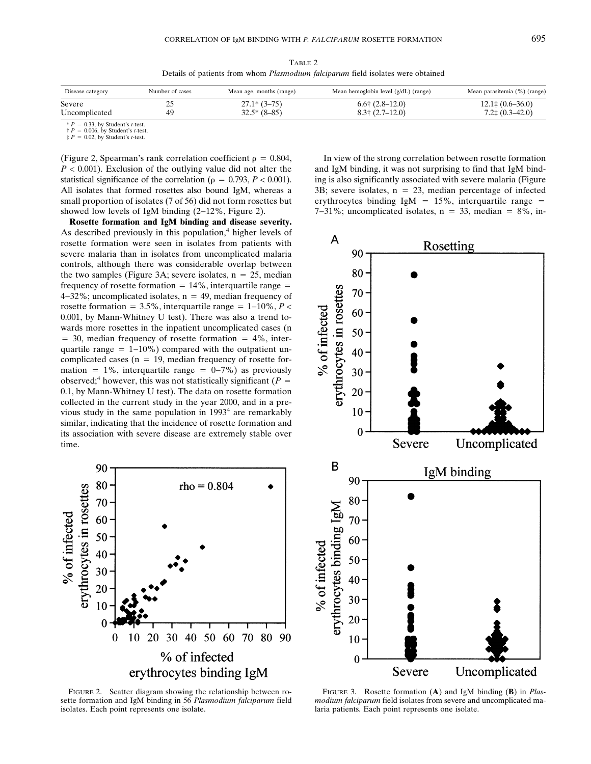TABLE 2 Details of patients from whom *Plasmodium falciparum* field isolates were obtained

| Disease category                 | Number of cases | Mean age, months (range)        | Mean hemoglobin level $(g/dL)$ (range)                   | Mean parasitemia (%) (range)                        |
|----------------------------------|-----------------|---------------------------------|----------------------------------------------------------|-----------------------------------------------------|
| Severe<br>Uncomplicated          | <u>_</u><br>49  | $27.1*$ (3-75)<br>$32.5*(8-85)$ | $6.6 \dagger (2.8 - 12.0)$<br>$8.3 \dagger (2.7 - 12.0)$ | $12.1\ddagger(0.6-36.0)$<br>$7.2\ddagger(0.3-42.0)$ |
| $\pm D = 0.22$ by Ctudent's that |                 |                                 |                                                          |                                                     |

 $* P = 0.33$ , by Student's *t*-test.<br> $\dagger P = 0.006$ , by Student's *t*-test.

 $\ddagger P = 0.02$ , by Student's *t*-test.

(Figure 2, Spearman's rank correlation coefficient  $\rho = 0.804$ ,  $P < 0.001$ ). Exclusion of the outlying value did not alter the statistical significance of the correlation ( $\rho = 0.793$ ,  $P < 0.001$ ). All isolates that formed rosettes also bound IgM, whereas a small proportion of isolates (7 of 56) did not form rosettes but showed low levels of IgM binding (2−12%, Figure 2).

**Rosette formation and IgM binding and disease severity.** As described previously in this population,<sup>4</sup> higher levels of rosette formation were seen in isolates from patients with severe malaria than in isolates from uncomplicated malaria controls, although there was considerable overlap between the two samples (Figure 3A; severe isolates,  $n = 25$ , median frequency of rosette formation  $= 14\%$ , interquartile range  $=$  $4-32\%$ ; uncomplicated isolates, n = 49, median frequency of rosette formation =  $3.5\%$ , interquartile range =  $1-10\%$ , *P* < 0.001, by Mann-Whitney U test). There was also a trend towards more rosettes in the inpatient uncomplicated cases (n  $=$  30, median frequency of rosette formation  $=$  4%, interquartile range  $= 1-10\%$ ) compared with the outpatient uncomplicated cases ( $n = 19$ , median frequency of rosette formation = 1%, interquartile range =  $0-7%$ ) as previously observed;<sup>4</sup> however, this was not statistically significant ( $P =$ 0.1, by Mann-Whitney U test). The data on rosette formation collected in the current study in the year 2000, and in a previous study in the same population in  $1993<sup>4</sup>$  are remarkably similar, indicating that the incidence of rosette formation and its association with severe disease are extremely stable over time.



FIGURE 2. Scatter diagram showing the relationship between rosette formation and IgM binding in 56 *Plasmodium falciparum* field isolates. Each point represents one isolate.

In view of the strong correlation between rosette formation and IgM binding, it was not surprising to find that IgM binding is also significantly associated with severe malaria (Figure 3B; severe isolates,  $n = 23$ , median percentage of infected erythrocytes binding IgM =  $15\%$ , interquartile range =  $7-31\%$ ; uncomplicated isolates, n = 33, median = 8%, in-



FIGURE 3. Rosette formation (**A**) and IgM binding (**B**) in *Plasmodium falciparum* field isolates from severe and uncomplicated malaria patients. Each point represents one isolate.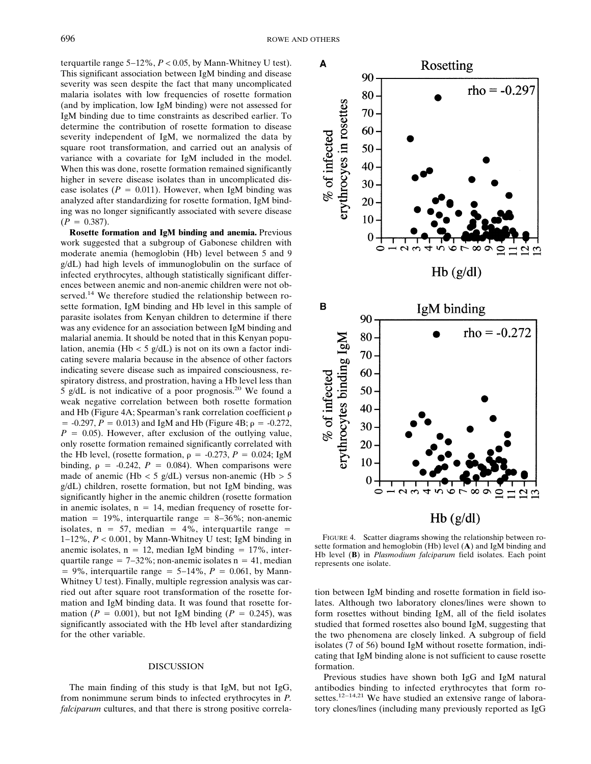terquartile range 5−12%, *P* < 0.05, by Mann-Whitney U test). This significant association between IgM binding and disease severity was seen despite the fact that many uncomplicated malaria isolates with low frequencies of rosette formation (and by implication, low IgM binding) were not assessed for IgM binding due to time constraints as described earlier. To determine the contribution of rosette formation to disease severity independent of IgM, we normalized the data by square root transformation, and carried out an analysis of variance with a covariate for IgM included in the model. When this was done, rosette formation remained significantly higher in severe disease isolates than in uncomplicated disease isolates ( $P = 0.011$ ). However, when IgM binding was analyzed after standardizing for rosette formation, IgM binding was no longer significantly associated with severe disease  $(P = 0.387)$ .

**Rosette formation and IgM binding and anemia.** Previous work suggested that a subgroup of Gabonese children with moderate anemia (hemoglobin (Hb) level between 5 and 9 g/dL) had high levels of immunoglobulin on the surface of infected erythrocytes, although statistically significant differences between anemic and non-anemic children were not observed.<sup>14</sup> We therefore studied the relationship between rosette formation, IgM binding and Hb level in this sample of parasite isolates from Kenyan children to determine if there was any evidence for an association between IgM binding and malarial anemia. It should be noted that in this Kenyan population, anemia (Hb < 5 g/dL) is not on its own a factor indicating severe malaria because in the absence of other factors indicating severe disease such as impaired consciousness, respiratory distress, and prostration, having a Hb level less than 5 g/dL is not indicative of a poor prognosis.<sup>20</sup> We found a weak negative correlation between both rosette formation and Hb (Figure 4A; Spearman's rank correlation coefficient  $= -0.297, P = 0.013$  and IgM and Hb (Figure 4B;  $\rho = -0.272$ ,  $P = 0.05$ ). However, after exclusion of the outlying value, only rosette formation remained significantly correlated with the Hb level, (rosette formation,  $\rho = -0.273$ ,  $P = 0.024$ ; IgM binding,  $\rho = -0.242$ ,  $P = 0.084$ ). When comparisons were made of anemic (Hb < 5 g/dL) versus non-anemic (Hb > 5 g/dL) children, rosette formation, but not IgM binding, was significantly higher in the anemic children (rosette formation in anemic isolates,  $n = 14$ , median frequency of rosette formation = 19%, interquartile range =  $8-36\%$ ; non-anemic isolates,  $n = 57$ , median = 4%, interquartile range = 1−12%, *P* < 0.001, by Mann-Whitney U test; IgM binding in anemic isolates,  $n = 12$ , median IgM binding  $= 17\%$ , interquartile range  $= 7-32\%$ ; non-anemic isolates n  $= 41$ , median  $= 9\%$ , interquartile range  $= 5-14\%$ ,  $P = 0.061$ , by Mann-Whitney U test). Finally, multiple regression analysis was carried out after square root transformation of the rosette formation and IgM binding data. It was found that rosette formation ( $P = 0.001$ ), but not IgM binding ( $P = 0.245$ ), was significantly associated with the Hb level after standardizing for the other variable.

## DISCUSSION

The main finding of this study is that IgM, but not IgG, from nonimmune serum binds to infected erythrocytes in *P. falciparum* cultures, and that there is strong positive correla-



FIGURE 4. Scatter diagrams showing the relationship between rosette formation and hemoglobin (Hb) level (**A**) and IgM binding and Hb level (**B**) in *Plasmodium falciparum* field isolates. Each point represents one isolate.

tion between IgM binding and rosette formation in field isolates. Although two laboratory clones/lines were shown to form rosettes without binding IgM, all of the field isolates studied that formed rosettes also bound IgM, suggesting that the two phenomena are closely linked. A subgroup of field isolates (7 of 56) bound IgM without rosette formation, indicating that IgM binding alone is not sufficient to cause rosette formation.

Previous studies have shown both IgG and IgM natural antibodies binding to infected erythrocytes that form rosettes.12−14,21 We have studied an extensive range of laboratory clones/lines (including many previously reported as IgG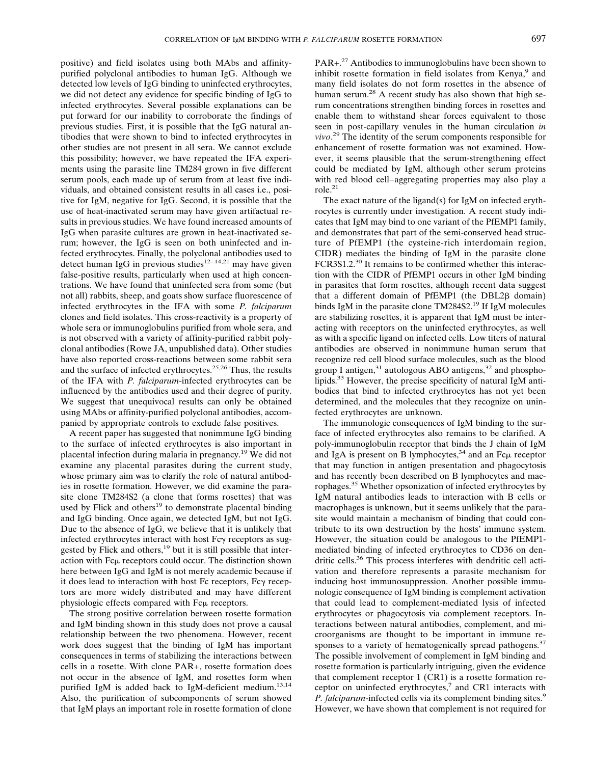positive) and field isolates using both MAbs and affinitypurified polyclonal antibodies to human IgG. Although we detected low levels of IgG binding to uninfected erythrocytes, we did not detect any evidence for specific binding of IgG to infected erythrocytes. Several possible explanations can be put forward for our inability to corroborate the findings of previous studies. First, it is possible that the IgG natural antibodies that were shown to bind to infected erythrocytes in other studies are not present in all sera. We cannot exclude this possibility; however, we have repeated the IFA experiments using the parasite line TM284 grown in five different serum pools, each made up of serum from at least five individuals, and obtained consistent results in all cases i.e., positive for IgM, negative for IgG. Second, it is possible that the use of heat-inactivated serum may have given artifactual results in previous studies. We have found increased amounts of IgG when parasite cultures are grown in heat-inactivated serum; however, the IgG is seen on both uninfected and infected erythrocytes. Finally, the polyclonal antibodies used to detect human IgG in previous studies<sup>12−14,21</sup> may have given false-positive results, particularly when used at high concentrations. We have found that uninfected sera from some (but not all) rabbits, sheep, and goats show surface fluorescence of infected erythrocytes in the IFA with some *P. falciparum* clones and field isolates. This cross-reactivity is a property of whole sera or immunoglobulins purified from whole sera, and is not observed with a variety of affinity-purified rabbit polyclonal antibodies (Rowe JA, unpublished data). Other studies have also reported cross-reactions between some rabbit sera and the surface of infected erythrocytes.25,26 Thus, the results of the IFA with *P. falciparum*-infected erythrocytes can be influenced by the antibodies used and their degree of purity. We suggest that unequivocal results can only be obtained using MAbs or affinity-purified polyclonal antibodies, accompanied by appropriate controls to exclude false positives.

A recent paper has suggested that nonimmune IgG binding to the surface of infected erythrocytes is also important in placental infection during malaria in pregnancy.<sup>19</sup> We did not examine any placental parasites during the current study, whose primary aim was to clarify the role of natural antibodies in rosette formation. However, we did examine the parasite clone TM284S2 (a clone that forms rosettes) that was used by Flick and others $19$  to demonstrate placental binding and IgG binding. Once again, we detected IgM, but not IgG. Due to the absence of IgG, we believe that it is unlikely that infected erythrocytes interact with host  $Fc\gamma$  receptors as suggested by Flick and others,<sup>19</sup> but it is still possible that interaction with Fc $\mu$  receptors could occur. The distinction shown here between IgG and IgM is not merely academic because if it does lead to interaction with host  $Fc$  receptors,  $Fc\gamma$  receptors are more widely distributed and may have different physiologic effects compared with Fc $\mu$  receptors.

The strong positive correlation between rosette formation and IgM binding shown in this study does not prove a causal relationship between the two phenomena. However, recent work does suggest that the binding of IgM has important consequences in terms of stabilizing the interactions between cells in a rosette. With clone PAR+, rosette formation does not occur in the absence of IgM, and rosettes form when purified IgM is added back to IgM-deficient medium.<sup>13,14</sup> Also, the purification of subcomponents of serum showed that IgM plays an important role in rosette formation of clone

PAR+.<sup>27</sup> Antibodies to immunoglobulins have been shown to inhibit rosette formation in field isolates from Kenya,<sup>9</sup> and many field isolates do not form rosettes in the absence of human serum.<sup>28</sup> A recent study has also shown that high serum concentrations strengthen binding forces in rosettes and enable them to withstand shear forces equivalent to those seen in post-capillary venules in the human circulation *in vivo*. <sup>29</sup> The identity of the serum components responsible for enhancement of rosette formation was not examined. However, it seems plausible that the serum-strengthening effect could be mediated by IgM, although other serum proteins with red blood cell−aggregating properties may also play a role.21

The exact nature of the ligand(s) for IgM on infected erythrocytes is currently under investigation. A recent study indicates that IgM may bind to one variant of the PfEMP1 family, and demonstrates that part of the semi-conserved head structure of PfEMP1 (the cysteine-rich interdomain region, CIDR) mediates the binding of IgM in the parasite clone FCR3S1.2.<sup>30</sup> It remains to be confirmed whether this interaction with the CIDR of PfEMP1 occurs in other IgM binding in parasites that form rosettes, although recent data suggest that a different domain of PfEMP1 (the  $DBL2\beta$  domain) binds IgM in the parasite clone TM284S2.19 If IgM molecules are stabilizing rosettes, it is apparent that IgM must be interacting with receptors on the uninfected erythrocytes, as well as with a specific ligand on infected cells. Low titers of natural antibodies are observed in nonimmune human serum that recognize red cell blood surface molecules, such as the blood group I antigen, $31$  autologous ABO antigens, $32$  and phospholipids.<sup>33</sup> However, the precise specificity of natural IgM antibodies that bind to infected erythrocytes has not yet been determined, and the molecules that they recognize on uninfected erythrocytes are unknown.

The immunologic consequences of IgM binding to the surface of infected erythrocytes also remains to be clarified. A poly-immunoglobulin receptor that binds the J chain of IgM and IgA is present on B lymphocytes, $34$  and an Fc $\mu$  receptor that may function in antigen presentation and phagocytosis and has recently been described on B lymphocytes and macrophages.<sup>35</sup> Whether opsonization of infected erythrocytes by IgM natural antibodies leads to interaction with B cells or macrophages is unknown, but it seems unlikely that the parasite would maintain a mechanism of binding that could contribute to its own destruction by the hosts' immune system. However, the situation could be analogous to the PfEMP1 mediated binding of infected erythrocytes to CD36 on dendritic cells.<sup>36</sup> This process interferes with dendritic cell activation and therefore represents a parasite mechanism for inducing host immunosuppression. Another possible immunologic consequence of IgM binding is complement activation that could lead to complement-mediated lysis of infected erythrocytes or phagocytosis via complement receptors. Interactions between natural antibodies, complement, and microorganisms are thought to be important in immune responses to a variety of hematogenically spread pathogens.<sup>37</sup> The possible involvement of complement in IgM binding and rosette formation is particularly intriguing, given the evidence that complement receptor 1 (CR1) is a rosette formation receptor on uninfected erythrocytes, $7$  and CR1 interacts with *P. falciparum*-infected cells via its complement binding sites.<sup>9</sup> However, we have shown that complement is not required for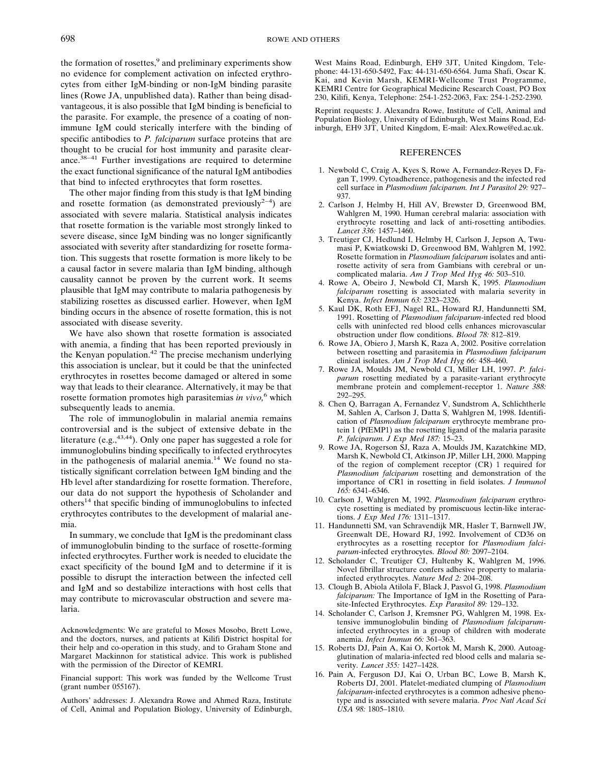the formation of rosettes,<sup>9</sup> and preliminary experiments show no evidence for complement activation on infected erythrocytes from either IgM-binding or non-IgM binding parasite lines (Rowe JA, unpublished data). Rather than being disadvantageous, it is also possible that IgM binding is beneficial to the parasite. For example, the presence of a coating of nonimmune IgM could sterically interfere with the binding of specific antibodies to *P. falciparum* surface proteins that are thought to be crucial for host immunity and parasite clearance.38−41 Further investigations are required to determine the exact functional significance of the natural IgM antibodies that bind to infected erythrocytes that form rosettes.

The other major finding from this study is that IgM binding and rosette formation (as demonstrated previously<sup>2−4</sup>) are associated with severe malaria. Statistical analysis indicates that rosette formation is the variable most strongly linked to severe disease, since IgM binding was no longer significantly associated with severity after standardizing for rosette formation. This suggests that rosette formation is more likely to be a causal factor in severe malaria than IgM binding, although causality cannot be proven by the current work. It seems plausible that IgM may contribute to malaria pathogenesis by stabilizing rosettes as discussed earlier. However, when IgM binding occurs in the absence of rosette formation, this is not associated with disease severity.

We have also shown that rosette formation is associated with anemia, a finding that has been reported previously in the Kenyan population.<sup>42</sup> The precise mechanism underlying this association is unclear, but it could be that the uninfected erythrocytes in rosettes become damaged or altered in some way that leads to their clearance. Alternatively, it may be that rosette formation promotes high parasitemias *in vivo,*<sup>6</sup> which subsequently leads to anemia.

The role of immunoglobulin in malarial anemia remains controversial and is the subject of extensive debate in the literature (e.g.,  $43,44$ ). Only one paper has suggested a role for immunoglobulins binding specifically to infected erythrocytes in the pathogenesis of malarial anemia. $^{14}$  We found no statistically significant correlation between IgM binding and the Hb level after standardizing for rosette formation. Therefore, our data do not support the hypothesis of Scholander and others14 that specific binding of immunoglobulins to infected erythrocytes contributes to the development of malarial anemia.

In summary, we conclude that IgM is the predominant class of immunoglobulin binding to the surface of rosette-forming infected erythrocytes. Further work is needed to elucidate the exact specificity of the bound IgM and to determine if it is possible to disrupt the interaction between the infected cell and IgM and so destabilize interactions with host cells that may contribute to microvascular obstruction and severe malaria.

Acknowledgments: We are grateful to Moses Mosobo, Brett Lowe, and the doctors, nurses, and patients at Kilifi District hospital for their help and co-operation in this study, and to Graham Stone and Margaret Mackinnon for statistical advice. This work is published with the permission of the Director of KEMRI.

Financial support: This work was funded by the Wellcome Trust  $(grant number 055167).$ 

Authors' addresses: J. Alexandra Rowe and Ahmed Raza, Institute of Cell, Animal and Population Biology, University of Edinburgh,

West Mains Road, Edinburgh, EH9 3JT, United Kingdom, Telephone: 44-131-650-5492, Fax: 44-131-650-6564. Juma Shafi, Oscar K. Kai, and Kevin Marsh, KEMRI-Wellcome Trust Programme, KEMRI Centre for Geographical Medicine Research Coast, PO Box 230, Kilifi, Kenya, Telephone: 254-1-252-2063, Fax: 254-1-252-2390.

Reprint requests: J. Alexandra Rowe, Institute of Cell, Animal and Population Biology, University of Edinburgh, West Mains Road, Edinburgh, EH9 3JT, United Kingdom, E-mail: Alex.Rowe@ed.ac.uk.

## REFERENCES

- 1. Newbold C, Craig A, Kyes S, Rowe A, Fernandez-Reyes D, Fagan T, 1999. Cytoadherence, pathogenesis and the infected red cell surface in *Plasmodium falciparum. Int J Parasitol 29:* 927– 937.
- 2. Carlson J, Helmby H, Hill AV, Brewster D, Greenwood BM, Wahlgren M, 1990. Human cerebral malaria: association with erythrocyte rosetting and lack of anti-rosetting antibodies. *Lancet 336:* 1457–1460.
- 3. Treutiger CJ, Hedlund I, Helmby H, Carlson J, Jepson A, Twumasi P, Kwiatkowski D, Greenwood BM, Wahlgren M, 1992. Rosette formation in *Plasmodium falciparum* isolates and antirosette activity of sera from Gambians with cerebral or uncomplicated malaria. *Am J Trop Med Hyg 46:* 503–510.
- 4. Rowe A, Obeiro J, Newbold CI, Marsh K, 1995. *Plasmodium falciparum* rosetting is associated with malaria severity in Kenya. *Infect Immun 63:* 2323–2326.
- 5. Kaul DK, Roth EFJ, Nagel RL, Howard RJ, Handunnetti SM, 1991. Rosetting of *Plasmodium falciparum*-infected red blood cells with uninfected red blood cells enhances microvascular obstruction under flow conditions. *Blood 78:* 812–819.
- 6. Rowe JA, Obiero J, Marsh K, Raza A, 2002. Positive correlation between rosetting and parasitemia in *Plasmodium falciparum* clinical isolates. *Am J Trop Med Hyg 66:* 458–460.
- 7. Rowe JA, Moulds JM, Newbold CI, Miller LH, 1997. *P. falciparum* rosetting mediated by a parasite-variant erythrocyte membrane protein and complement-receptor 1. *Nature 388:* 292–295.
- 8. Chen Q, Barragan A, Fernandez V, Sundstrom A, Schlichtherle M, Sahlen A, Carlson J, Datta S, Wahlgren M, 1998. Identification of *Plasmodium falciparum* erythrocyte membrane protein 1 (PfEMP1) as the rosetting ligand of the malaria parasite *P. falciparum. J Exp Med 187:* 15–23.
- 9. Rowe JA, Rogerson SJ, Raza A, Moulds JM, Kazatchkine MD, Marsh K, Newbold CI, Atkinson JP, Miller LH, 2000. Mapping of the region of complement receptor (CR) 1 required for *Plasmodium falciparum* rosetting and demonstration of the importance of CR1 in rosetting in field isolates. *J Immunol 165:* 6341–6346.
- 10. Carlson J, Wahlgren M, 1992. *Plasmodium falciparum* erythrocyte rosetting is mediated by promiscuous lectin-like interactions. *J Exp Med 176:* 1311–1317.
- 11. Handunnetti SM, van Schravendijk MR, Hasler T, Barnwell JW, Greenwalt DE, Howard RJ, 1992. Involvement of CD36 on erythrocytes as a rosetting receptor for *Plasmodium falciparum*-infected erythrocytes. *Blood 80:* 2097–2104.
- 12. Scholander C, Treutiger CJ, Hultenby K, Wahlgren M, 1996. Novel fibrillar structure confers adhesive property to malariainfected erythrocytes. *Nature Med 2:* 204–208.
- 13. Clough B, Abiola Atilola F, Black J, Pasvol G, 1998. *Plasmodium falciparum:* The Importance of IgM in the Rosetting of Parasite-Infected Erythrocytes. *Exp Parasitol 89:* 129–132.
- 14. Scholander C, Carlson J, Kremsner PG, Wahlgren M, 1998. Extensive immunoglobulin binding of *Plasmodium falciparum*infected erythrocytes in a group of children with moderate anemia. *Infect Immun 66:* 361–363.
- 15. Roberts DJ, Pain A, Kai O, Kortok M, Marsh K, 2000. Autoagglutination of malaria-infected red blood cells and malaria severity. *Lancet 355:* 1427–1428.
- 16. Pain A, Ferguson DJ, Kai O, Urban BC, Lowe B, Marsh K, Roberts DJ, 2001. Platelet-mediated clumping of *Plasmodium falciparum*-infected erythrocytes is a common adhesive phenotype and is associated with severe malaria. *Proc Natl Acad Sci USA 98:* 1805–1810.